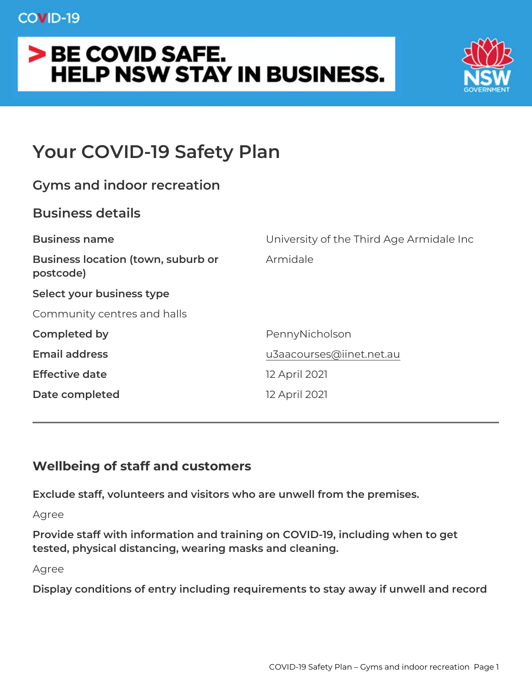# Your COVID-19 Safety Plan

| Gyms and indoor recreation                           |                                     |
|------------------------------------------------------|-------------------------------------|
| Business details                                     |                                     |
| Business name                                        | University of the Third Age Armidal |
| Business location (town, suburbAomidale<br>postcode) |                                     |
| Select your business type                            |                                     |
| Community centres and halls                          |                                     |
| Completed by                                         | PennyNicholson                      |
| Email address                                        | u3aacourses@iinet.net.au            |
| Effective date                                       | 12 April 2021                       |
| Date completed                                       | 12 April 2021                       |
|                                                      |                                     |

Wellbeing of staff and customers

Exclude staff, volunteers and visitors who are unwell from the prer Agree

Provide staff with information and training on COVID-19, including tested, physical distancing, wearing masks and cleaning.

Agree

Display conditions of entry including requirements to stay away if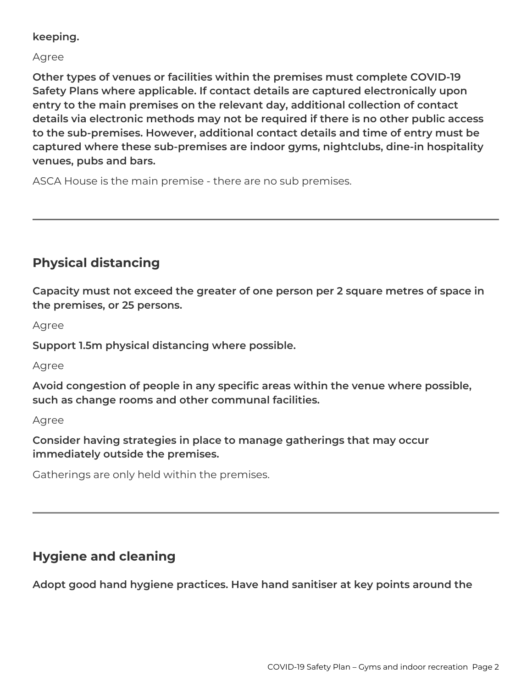### **keeping.**

#### Agree

**Other types of venues or facilities within the premises must complete COVID-19 Safety Plans where applicable. If contact details are captured electronically upon entry to the main premises on the relevant day, additional collection of contact details via electronic methods may not be required if there is no other public access to the sub-premises. However, additional contact details and time of entry must be captured where these sub-premises are indoor gyms, nightclubs, dine-in hospitality venues, pubs and bars.**

ASCA House is the main premise - there are no sub premises.

# **Physical distancing**

**Capacity must not exceed the greater of one person per 2 square metres of space in the premises, or 25 persons.**

Agree

**Support 1.5m physical distancing where possible.**

Agree

**Avoid congestion of people in any specific areas within the venue where possible, such as change rooms and other communal facilities.**

Agree

**Consider having strategies in place to manage gatherings that may occur immediately outside the premises.**

Gatherings are only held within the premises.

# **Hygiene and cleaning**

**Adopt good hand hygiene practices. Have hand sanitiser at key points around the**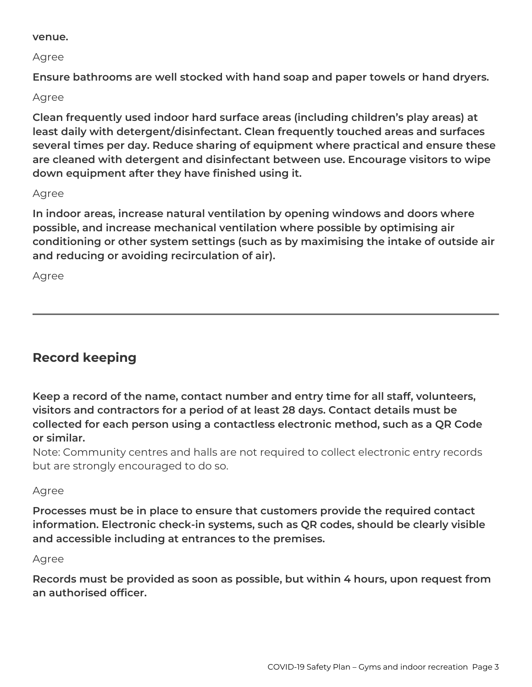#### **venue.**

Agree

**Ensure bathrooms are well stocked with hand soap and paper towels or hand dryers.**

### Agree

**Clean frequently used indoor hard surface areas (including children's play areas) at least daily with detergent/disinfectant. Clean frequently touched areas and surfaces several times per day. Reduce sharing of equipment where practical and ensure these are cleaned with detergent and disinfectant between use. Encourage visitors to wipe down equipment after they have finished using it.**

#### Agree

**In indoor areas, increase natural ventilation by opening windows and doors where possible, and increase mechanical ventilation where possible by optimising air conditioning or other system settings (such as by maximising the intake of outside air and reducing or avoiding recirculation of air).**

Agree

# **Record keeping**

**Keep a record of the name, contact number and entry time for all staff, volunteers, visitors and contractors for a period of at least 28 days. Contact details must be collected for each person using a contactless electronic method, such as a QR Code or similar.**

Note: Community centres and halls are not required to collect electronic entry records but are strongly encouraged to do so.

### Agree

**Processes must be in place to ensure that customers provide the required contact information. Electronic check-in systems, such as QR codes, should be clearly visible and accessible including at entrances to the premises.**

#### Agree

**Records must be provided as soon as possible, but within 4 hours, upon request from an authorised officer.**